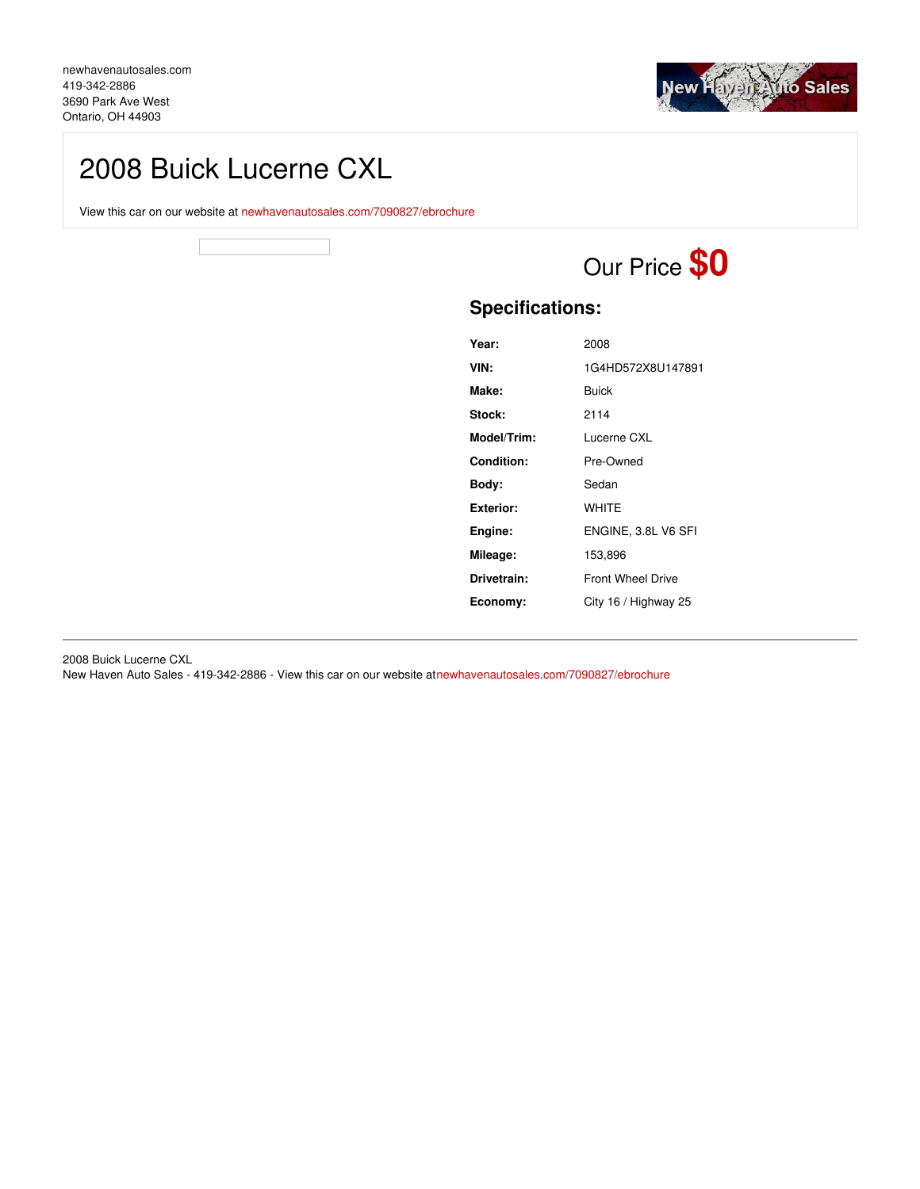

## 2008 Buick Lucerne CXL

View this car on our website at [newhavenautosales.com/7090827/ebrochure](https://newhavenautosales.com/vehicle/7090827/2008-buick-lucerne-cxl-ontario-oh-44903/7090827/ebrochure)

# Our Price **\$0**

## **Specifications:**

| Year:       | 2008                     |
|-------------|--------------------------|
| VIN:        | 1G4HD572X8U147891        |
| Make:       | Buick                    |
| Stock:      | 2114                     |
| Model/Trim: | Lucerne CXL              |
| Condition:  | Pre-Owned                |
| Body:       | Sedan                    |
| Exterior:   | <b>WHITF</b>             |
| Engine:     | ENGINE, 3.8L V6 SFI      |
| Mileage:    | 153,896                  |
| Drivetrain: | <b>Front Wheel Drive</b> |
| Economy:    | City 16 / Highway 25     |
|             |                          |

2008 Buick Lucerne CXL

New Haven Auto Sales - 419-342-2886 - View this car on our website a[tnewhavenautosales.com/7090827/ebrochure](https://newhavenautosales.com/vehicle/7090827/2008-buick-lucerne-cxl-ontario-oh-44903/7090827/ebrochure)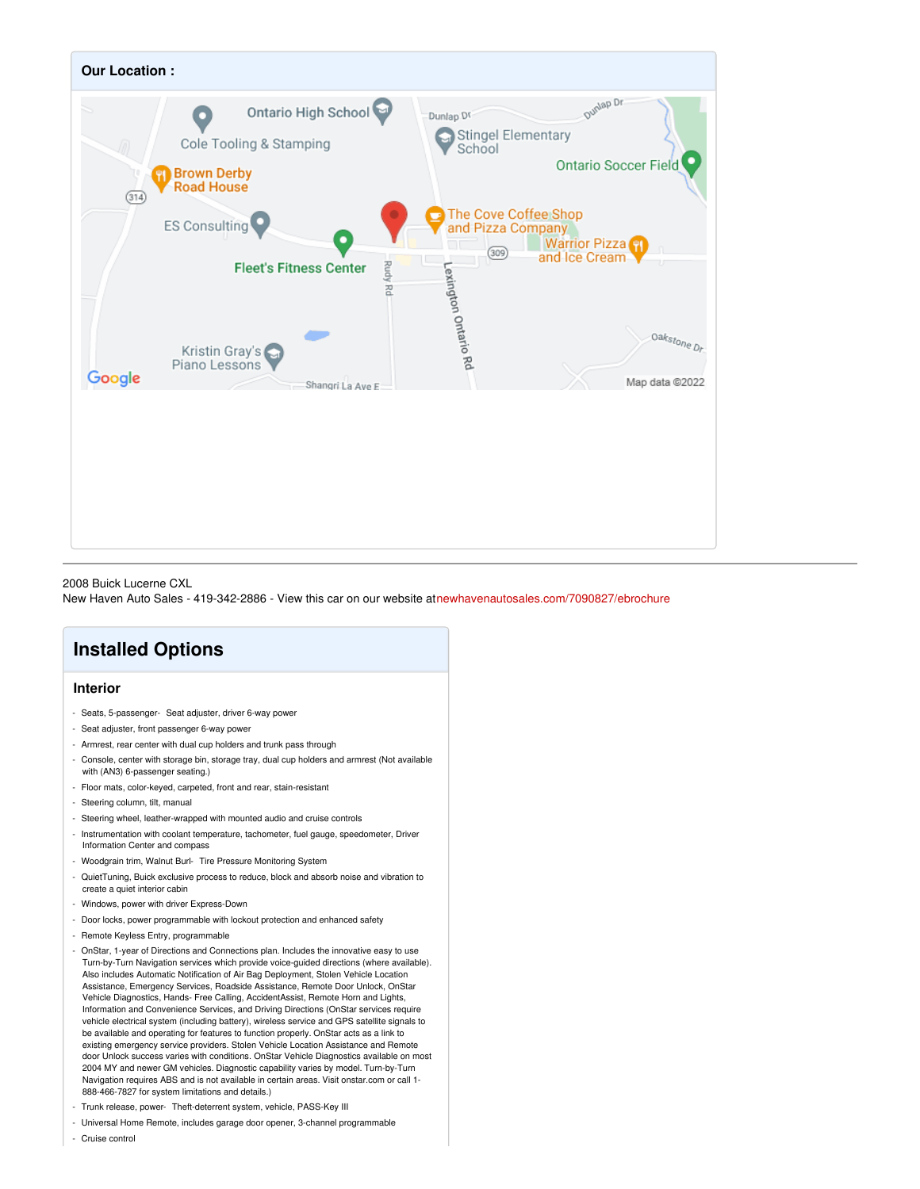

2008 Buick Lucerne CXL

New Haven Auto Sales - 419-342-2886 - View this car on our website a[tnewhavenautosales.com/7090827/ebrochure](https://newhavenautosales.com/vehicle/7090827/2008-buick-lucerne-cxl-ontario-oh-44903/7090827/ebrochure)

## **Installed Options**

#### **Interior**

- Seats, 5-passenger- Seat adjuster, driver 6-way power
- Seat adjuster, front passenger 6-way power
- Armrest, rear center with dual cup holders and trunk pass through
- Console, center with storage bin, storage tray, dual cup holders and armrest (Not available with (AN3) 6-passenger seating.)
- Floor mats, color-keyed, carpeted, front and rear, stain-resistant
- Steering column, tilt, manual
- Steering wheel, leather-wrapped with mounted audio and cruise controls
- Instrumentation with coolant temperature, tachometer, fuel gauge, speedometer, Driver Information Center and compass
- Woodgrain trim, Walnut Burl- Tire Pressure Monitoring System
- QuietTuning, Buick exclusive process to reduce, block and absorb noise and vibration to create a quiet interior cabin
- Windows, power with driver Express-Down
- Door locks, power programmable with lockout protection and enhanced safety
- Remote Keyless Entry, programmable
- OnStar, 1-year of Directions and Connections plan. Includes the innovative easy to use Turn-by-Turn Navigation services which provide voice-guided directions (where available). Also includes Automatic Notification of Air Bag Deployment, Stolen Vehicle Location Assistance, Emergency Services, Roadside Assistance, Remote Door Unlock, OnStar Vehicle Diagnostics, Hands- Free Calling, AccidentAssist, Remote Horn and Lights, Information and Convenience Services, and Driving Directions (OnStar services require vehicle electrical system (including battery), wireless service and GPS satellite signals to be available and operating for features to function properly. OnStar acts as a link to existing emergency service providers. Stolen Vehicle Location Assistance and Remote door Unlock success varies with conditions. OnStar Vehicle Diagnostics available on most 2004 MY and newer GM vehicles. Diagnostic capability varies by model. Turn-by-Turn Navigation requires ABS and is not available in certain areas. Visit onstar.com or call 1- 888-466-7827 for system limitations and details.)
- Trunk release, power- Theft-deterrent system, vehicle, PASS-Key III
- Universal Home Remote, includes garage door opener, 3-channel programmable
- Cruise control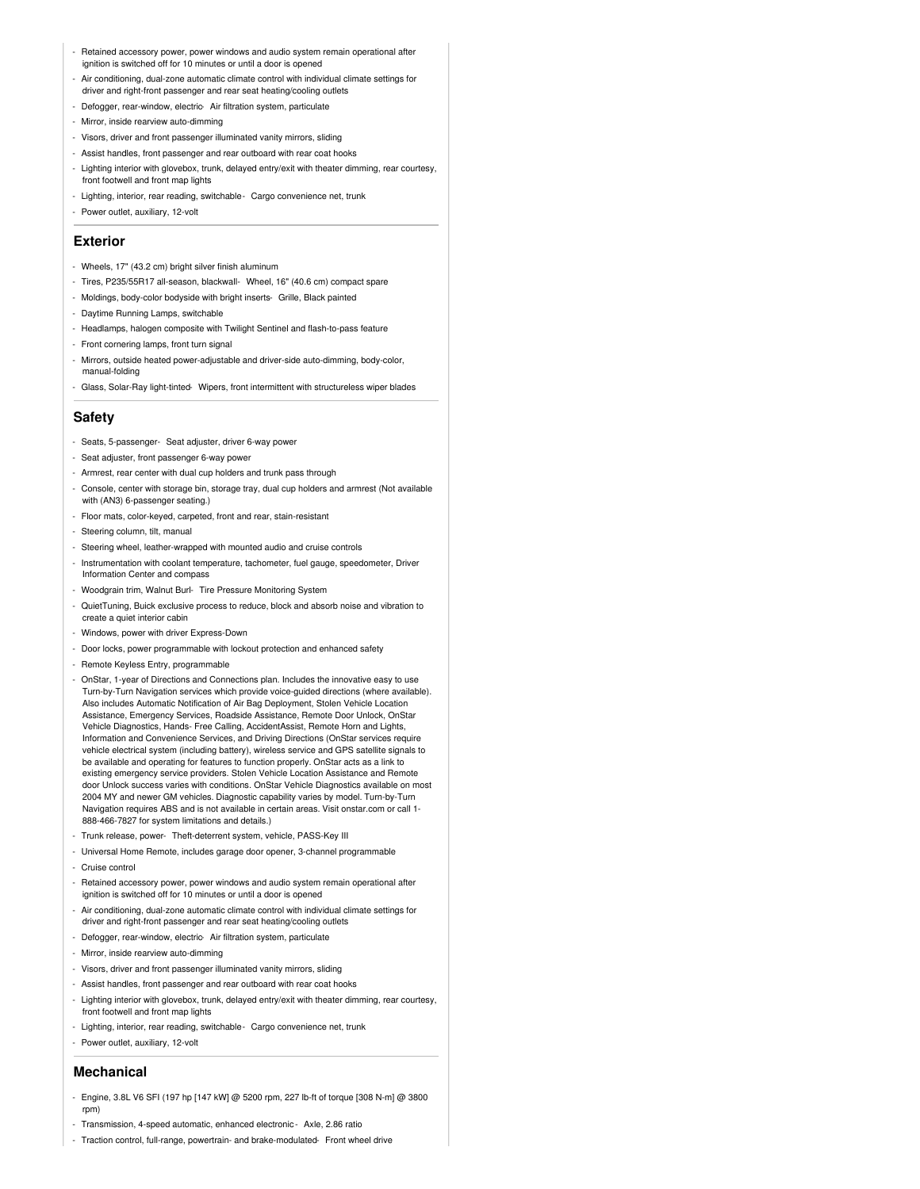- Retained accessory power, power windows and audio system remain operational after ignition is switched off for 10 minutes or until a door is opened
- Air conditioning, dual-zone automatic climate control with individual climate settings for driver and right-front passenger and rear seat heating/cooling outlets
- Defogger, rear-window, electric- Air filtration system, particulate
- Mirror, inside rearview auto-dimming
- Visors, driver and front passenger illuminated vanity mirrors, sliding
- Assist handles, front passenger and rear outboard with rear coat hooks
- Lighting interior with glovebox, trunk, delayed entry/exit with theater dimming, rear courtesy, front footwell and front map lights
- Lighting, interior, rear reading, switchable- Cargo convenience net, trunk
- Power outlet, auxiliary, 12-volt

#### **Exterior**

- Wheels, 17" (43.2 cm) bright silver finish aluminum
- Tires, P235/55R17 all-season, blackwall- Wheel, 16" (40.6 cm) compact spare
- Moldings, body-color bodyside with bright inserts- Grille, Black painted
- Daytime Running Lamps, switchable
- Headlamps, halogen composite with Twilight Sentinel and flash-to-pass feature
- Front cornering lamps, front turn signal
- Mirrors, outside heated power-adjustable and driver-side auto-dimming, body-color, manual-folding
- Glass, Solar-Ray light-tinted- Wipers, front intermittent with structureless wiper blades

#### **Safety**

- Seats, 5-passenger- Seat adjuster, driver 6-way power
- Seat adjuster, front passenger 6-way power
- Armrest, rear center with dual cup holders and trunk pass through
- Console, center with storage bin, storage tray, dual cup holders and armrest (Not available with (AN3) 6-passenger seating.)
- Floor mats, color-keyed, carpeted, front and rear, stain-resistant
- Steering column, tilt, manual
- Steering wheel, leather-wrapped with mounted audio and cruise controls
- Instrumentation with coolant temperature, tachometer, fuel gauge, speedometer, Driver Information Center and compass
- Woodgrain trim, Walnut Burl- Tire Pressure Monitoring System
- QuietTuning, Buick exclusive process to reduce, block and absorb noise and vibration to create a quiet interior cabin
- Windows, power with driver Express-Down
- Door locks, power programmable with lockout protection and enhanced safety
- Remote Keyless Entry, programmable
- OnStar, 1-year of Directions and Connections plan. Includes the innovative easy to use Turn-by-Turn Navigation services which provide voice-guided directions (where available). Also includes Automatic Notification of Air Bag Deployment, Stolen Vehicle Location Assistance, Emergency Services, Roadside Assistance, Remote Door Unlock, OnStar Vehicle Diagnostics, Hands- Free Calling, AccidentAssist, Remote Horn and Lights, Information and Convenience Services, and Driving Directions (OnStar services require vehicle electrical system (including battery), wireless service and GPS satellite signals to be available and operating for features to function properly. OnStar acts as a link to existing emergency service providers. Stolen Vehicle Location Assistance and Remote door Unlock success varies with conditions. OnStar Vehicle Diagnostics available on most 2004 MY and newer GM vehicles. Diagnostic capability varies by model. Turn-by-Turn Navigation requires ABS and is not available in certain areas. Visit onstar.com or call 1- 888-466-7827 for system limitations and details.)
- Trunk release, power- Theft-deterrent system, vehicle, PASS-Key III
- Universal Home Remote, includes garage door opener, 3-channel programmable - Cruise control
- Retained accessory power, power windows and audio system remain operational after ignition is switched off for 10 minutes or until a door is opened
- Air conditioning, dual-zone automatic climate control with individual climate settings for driver and right-front passenger and rear seat heating/cooling outlets
- Defogger, rear-window, electric- Air filtration system, particulate
- Mirror, inside rearview auto-dimming
- Visors, driver and front passenger illuminated vanity mirrors, sliding
- Assist handles, front passenger and rear outboard with rear coat hooks
- Lighting interior with glovebox, trunk, delayed entry/exit with theater dimming, rear courtesy, front footwell and front map lights
- Lighting, interior, rear reading, switchable- Cargo convenience net, trunk
- Power outlet, auxiliary, 12-volt

#### **Mechanical**

- Engine, 3.8L V6 SFI (197 hp [147 kW] @ 5200 rpm, 227 lb-ft of torque [308 N-m] @ 3800 rpm)
- Transmission, 4-speed automatic, enhanced electronic Axle, 2.86 ratio
- Traction control, full-range, powertrain- and brake-modulated- Front wheel drive